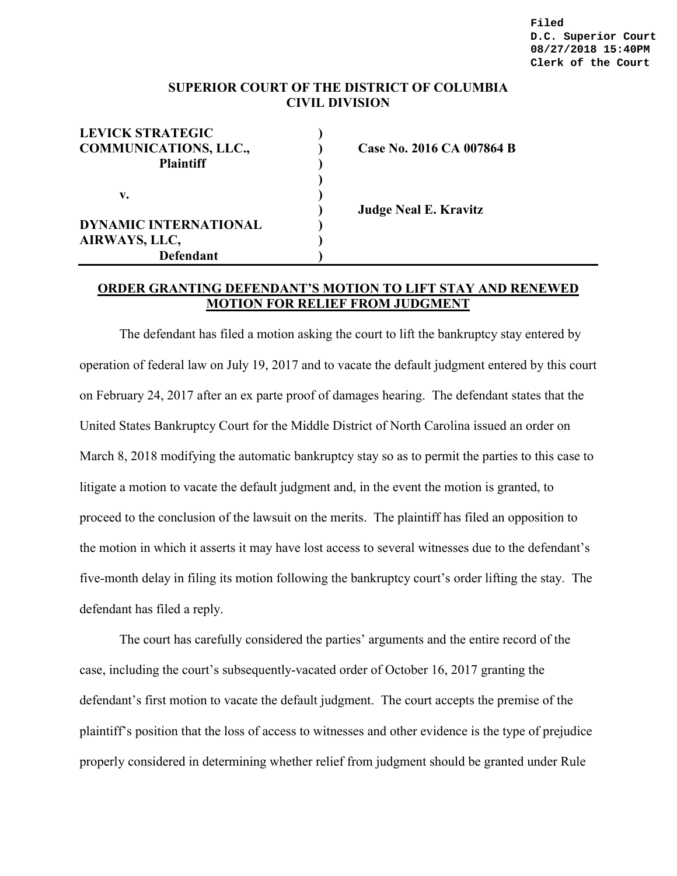**Filed D.C. Superior Court 08/27/2018 15:40PM Clerk of the Court**

## **SUPERIOR COURT OF THE DISTRICT OF COLUMBIA CIVIL DIVISION**

| <b>LEVICK STRATEGIC</b>      |  |
|------------------------------|--|
| <b>COMMUNICATIONS, LLC.,</b> |  |
| <b>Plaintiff</b>             |  |
|                              |  |
| $\mathbf{v}$ .               |  |
|                              |  |
| <b>DYNAMIC INTERNATIONAL</b> |  |
| AIRWAYS, LLC,                |  |
| <b>Defendant</b>             |  |

**Case No. 2016 CA 007864 B** 

**) Judge Neal E. Kravitz**

## **ORDER GRANTING DEFENDANT'S MOTION TO LIFT STAY AND RENEWED MOTION FOR RELIEF FROM JUDGMENT**

The defendant has filed a motion asking the court to lift the bankruptcy stay entered by operation of federal law on July 19, 2017 and to vacate the default judgment entered by this court on February 24, 2017 after an ex parte proof of damages hearing. The defendant states that the United States Bankruptcy Court for the Middle District of North Carolina issued an order on March 8, 2018 modifying the automatic bankruptcy stay so as to permit the parties to this case to litigate a motion to vacate the default judgment and, in the event the motion is granted, to proceed to the conclusion of the lawsuit on the merits. The plaintiff has filed an opposition to the motion in which it asserts it may have lost access to several witnesses due to the defendant's five-month delay in filing its motion following the bankruptcy court's order lifting the stay. The defendant has filed a reply.

The court has carefully considered the parties' arguments and the entire record of the case, including the court's subsequently-vacated order of October 16, 2017 granting the defendant's first motion to vacate the default judgment. The court accepts the premise of the plaintiff's position that the loss of access to witnesses and other evidence is the type of prejudice properly considered in determining whether relief from judgment should be granted under Rule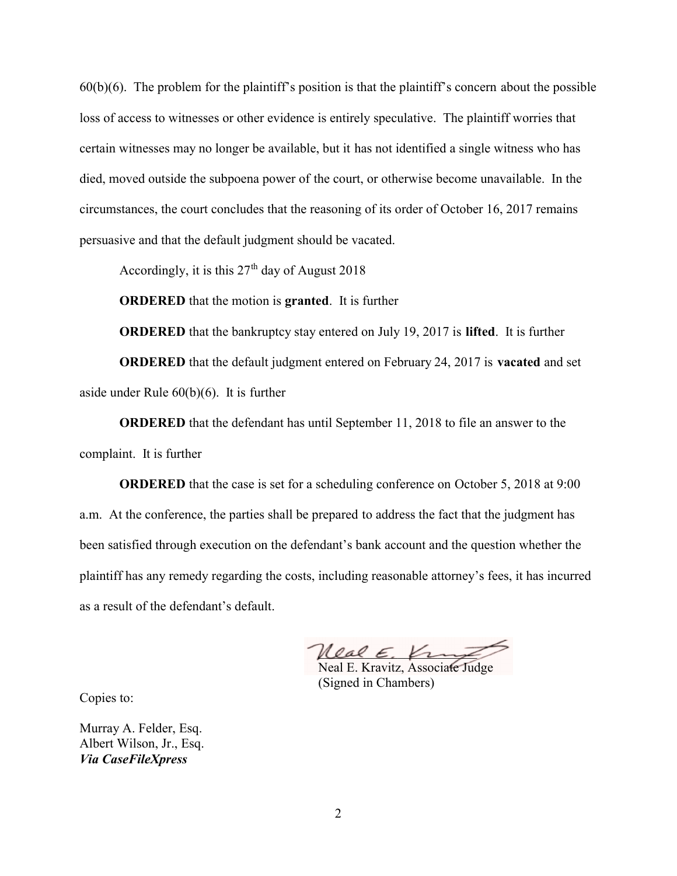60(b)(6). The problem for the plaintiff's position is that the plaintiff's concern about the possible loss of access to witnesses or other evidence is entirely speculative. The plaintiff worries that certain witnesses may no longer be available, but it has not identified a single witness who has died, moved outside the subpoena power of the court, or otherwise become unavailable. In the circumstances, the court concludes that the reasoning of its order of October 16, 2017 remains persuasive and that the default judgment should be vacated.

Accordingly, it is this  $27<sup>th</sup>$  day of August 2018

**ORDERED** that the motion is **granted**. It is further

**ORDERED** that the bankruptcy stay entered on July 19, 2017 is **lifted**. It is further

**ORDERED** that the default judgment entered on February 24, 2017 is **vacated** and set aside under Rule 60(b)(6). It is further

**ORDERED** that the defendant has until September 11, 2018 to file an answer to the complaint. It is further

**ORDERED** that the case is set for a scheduling conference on October 5, 2018 at 9:00 a.m. At the conference, the parties shall be prepared to address the fact that the judgment has been satisfied through execution on the defendant's bank account and the question whether the plaintiff has any remedy regarding the costs, including reasonable attorney's fees, it has incurred as a result of the defendant's default.

Real E. Krus

Neal E. Kravitz, Associate Judge (Signed in Chambers)

Copies to:

Murray A. Felder, Esq. Albert Wilson, Jr., Esq. *Via CaseFileXpress*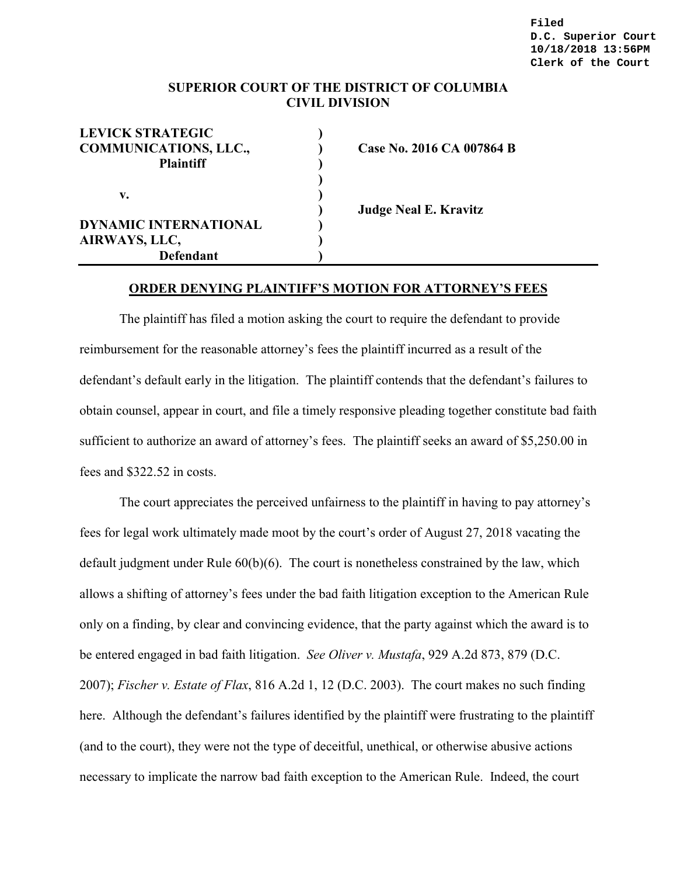## **SUPERIOR COURT OF THE DISTRICT OF COLUMBIA CIVIL DIVISION**

| <b>LEVICK STRATEGIC</b>      |  |
|------------------------------|--|
| <b>COMMUNICATIONS, LLC.,</b> |  |
| <b>Plaintiff</b>             |  |
|                              |  |
| v.                           |  |
|                              |  |
| <b>DYNAMIC INTERNATIONAL</b> |  |
| AIRWAYS, LLC,                |  |
| <b>Defendant</b>             |  |

**Case No. 2016 CA 007864 B** 

**) Judge Neal E. Kravitz**

## **ORDER DENYING PLAINTIFF'S MOTION FOR ATTORNEY'S FEES**

The plaintiff has filed a motion asking the court to require the defendant to provide reimbursement for the reasonable attorney's fees the plaintiff incurred as a result of the defendant's default early in the litigation. The plaintiff contends that the defendant's failures to obtain counsel, appear in court, and file a timely responsive pleading together constitute bad faith sufficient to authorize an award of attorney's fees. The plaintiff seeks an award of \$5,250.00 in fees and \$322.52 in costs.

The court appreciates the perceived unfairness to the plaintiff in having to pay attorney's fees for legal work ultimately made moot by the court's order of August 27, 2018 vacating the default judgment under Rule  $60(b)(6)$ . The court is nonetheless constrained by the law, which allows a shifting of attorney's fees under the bad faith litigation exception to the American Rule only on a finding, by clear and convincing evidence, that the party against which the award is to be entered engaged in bad faith litigation. *See Oliver v. Mustafa*, 929 A.2d 873, 879 (D.C. 2007); *Fischer v. Estate of Flax*, 816 A.2d 1, 12 (D.C. 2003). The court makes no such finding here. Although the defendant's failures identified by the plaintiff were frustrating to the plaintiff (and to the court), they were not the type of deceitful, unethical, or otherwise abusive actions necessary to implicate the narrow bad faith exception to the American Rule. Indeed, the court